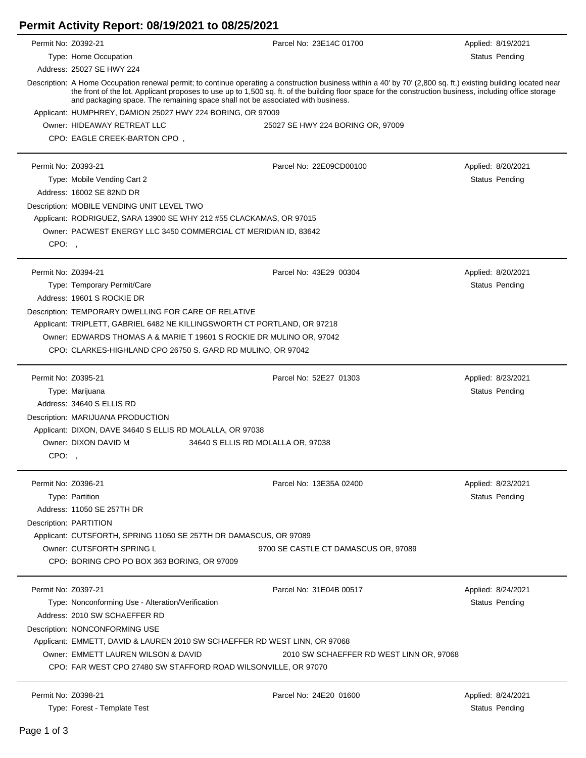## **Permit Activity Report: 08/19/2021 to 08/25/2021**

| Permit No: Z0392-21 |                                                                                                                                                                                                                                                                                                                                                                                                               | Parcel No: 23E14C 01700                  | Applied: 8/19/2021 |  |  |
|---------------------|---------------------------------------------------------------------------------------------------------------------------------------------------------------------------------------------------------------------------------------------------------------------------------------------------------------------------------------------------------------------------------------------------------------|------------------------------------------|--------------------|--|--|
|                     | Type: Home Occupation                                                                                                                                                                                                                                                                                                                                                                                         |                                          | Status Pending     |  |  |
|                     | Address: 25027 SE HWY 224                                                                                                                                                                                                                                                                                                                                                                                     |                                          |                    |  |  |
|                     | Description: A Home Occupation renewal permit; to continue operating a construction business within a 40' by 70' (2,800 sq. ft.) existing building located near<br>the front of the lot. Applicant proposes to use up to 1,500 sq. ft. of the building floor space for the construction business, including office storage<br>and packaging space. The remaining space shall not be associated with business. |                                          |                    |  |  |
|                     | Applicant: HUMPHREY, DAMION 25027 HWY 224 BORING, OR 97009                                                                                                                                                                                                                                                                                                                                                    |                                          |                    |  |  |
|                     | Owner: HIDEAWAY RETREAT LLC                                                                                                                                                                                                                                                                                                                                                                                   | 25027 SE HWY 224 BORING OR, 97009        |                    |  |  |
|                     | CPO: EAGLE CREEK-BARTON CPO,                                                                                                                                                                                                                                                                                                                                                                                  |                                          |                    |  |  |
| Permit No: Z0393-21 |                                                                                                                                                                                                                                                                                                                                                                                                               | Parcel No: 22E09CD00100                  | Applied: 8/20/2021 |  |  |
|                     | Type: Mobile Vending Cart 2                                                                                                                                                                                                                                                                                                                                                                                   |                                          | Status Pending     |  |  |
|                     | Address: 16002 SE 82ND DR                                                                                                                                                                                                                                                                                                                                                                                     |                                          |                    |  |  |
|                     | Description: MOBILE VENDING UNIT LEVEL TWO                                                                                                                                                                                                                                                                                                                                                                    |                                          |                    |  |  |
|                     | Applicant: RODRIGUEZ, SARA 13900 SE WHY 212 #55 CLACKAMAS, OR 97015                                                                                                                                                                                                                                                                                                                                           |                                          |                    |  |  |
|                     | Owner: PACWEST ENERGY LLC 3450 COMMERCIAL CT MERIDIAN ID, 83642                                                                                                                                                                                                                                                                                                                                               |                                          |                    |  |  |
| CPO:,               |                                                                                                                                                                                                                                                                                                                                                                                                               |                                          |                    |  |  |
| Permit No: Z0394-21 |                                                                                                                                                                                                                                                                                                                                                                                                               | Parcel No: 43E29 00304                   | Applied: 8/20/2021 |  |  |
|                     | Type: Temporary Permit/Care                                                                                                                                                                                                                                                                                                                                                                                   |                                          | Status Pending     |  |  |
|                     | Address: 19601 S ROCKIE DR                                                                                                                                                                                                                                                                                                                                                                                    |                                          |                    |  |  |
|                     | Description: TEMPORARY DWELLING FOR CARE OF RELATIVE                                                                                                                                                                                                                                                                                                                                                          |                                          |                    |  |  |
|                     | Applicant: TRIPLETT, GABRIEL 6482 NE KILLINGSWORTH CT PORTLAND, OR 97218                                                                                                                                                                                                                                                                                                                                      |                                          |                    |  |  |
|                     | Owner: EDWARDS THOMAS A & MARIE T 19601 S ROCKIE DR MULINO OR, 97042                                                                                                                                                                                                                                                                                                                                          |                                          |                    |  |  |
|                     | CPO: CLARKES-HIGHLAND CPO 26750 S. GARD RD MULINO, OR 97042                                                                                                                                                                                                                                                                                                                                                   |                                          |                    |  |  |
| Permit No: Z0395-21 |                                                                                                                                                                                                                                                                                                                                                                                                               | Parcel No: 52E27 01303                   | Applied: 8/23/2021 |  |  |
|                     | Type: Marijuana                                                                                                                                                                                                                                                                                                                                                                                               |                                          | Status Pending     |  |  |
|                     | Address: 34640 S ELLIS RD                                                                                                                                                                                                                                                                                                                                                                                     |                                          |                    |  |  |
|                     | Description: MARIJUANA PRODUCTION                                                                                                                                                                                                                                                                                                                                                                             |                                          |                    |  |  |
|                     | Applicant: DIXON, DAVE 34640 S ELLIS RD MOLALLA, OR 97038                                                                                                                                                                                                                                                                                                                                                     |                                          |                    |  |  |
|                     | Owner: DIXON DAVID M<br>34640 S ELLIS RD MOLALLA OR, 97038                                                                                                                                                                                                                                                                                                                                                    |                                          |                    |  |  |
| CPO:,               |                                                                                                                                                                                                                                                                                                                                                                                                               |                                          |                    |  |  |
| Permit No: Z0396-21 |                                                                                                                                                                                                                                                                                                                                                                                                               | Parcel No: 13E35A 02400                  | Applied: 8/23/2021 |  |  |
|                     | Type: Partition                                                                                                                                                                                                                                                                                                                                                                                               |                                          | Status Pending     |  |  |
|                     | Address: 11050 SE 257TH DR                                                                                                                                                                                                                                                                                                                                                                                    |                                          |                    |  |  |
|                     | Description: PARTITION                                                                                                                                                                                                                                                                                                                                                                                        |                                          |                    |  |  |
|                     | Applicant: CUTSFORTH, SPRING 11050 SE 257TH DR DAMASCUS, OR 97089                                                                                                                                                                                                                                                                                                                                             |                                          |                    |  |  |
|                     | Owner: CUTSFORTH SPRING L                                                                                                                                                                                                                                                                                                                                                                                     | 9700 SE CASTLE CT DAMASCUS OR, 97089     |                    |  |  |
|                     | CPO: BORING CPO PO BOX 363 BORING, OR 97009                                                                                                                                                                                                                                                                                                                                                                   |                                          |                    |  |  |
| Permit No: Z0397-21 |                                                                                                                                                                                                                                                                                                                                                                                                               | Parcel No: 31E04B 00517                  | Applied: 8/24/2021 |  |  |
|                     | Type: Nonconforming Use - Alteration/Verification                                                                                                                                                                                                                                                                                                                                                             |                                          | Status Pending     |  |  |
|                     | Address: 2010 SW SCHAEFFER RD                                                                                                                                                                                                                                                                                                                                                                                 |                                          |                    |  |  |
|                     | Description: NONCONFORMING USE                                                                                                                                                                                                                                                                                                                                                                                |                                          |                    |  |  |
|                     | Applicant: EMMETT, DAVID & LAUREN 2010 SW SCHAEFFER RD WEST LINN, OR 97068                                                                                                                                                                                                                                                                                                                                    |                                          |                    |  |  |
|                     | Owner: EMMETT LAUREN WILSON & DAVID                                                                                                                                                                                                                                                                                                                                                                           | 2010 SW SCHAEFFER RD WEST LINN OR, 97068 |                    |  |  |
|                     | CPO: FAR WEST CPO 27480 SW STAFFORD ROAD WILSONVILLE, OR 97070                                                                                                                                                                                                                                                                                                                                                |                                          |                    |  |  |
|                     |                                                                                                                                                                                                                                                                                                                                                                                                               |                                          |                    |  |  |
| Permit No: Z0398-21 |                                                                                                                                                                                                                                                                                                                                                                                                               | Parcel No: 24E20 01600                   | Applied: 8/24/2021 |  |  |

Type: Forest - Template Test Status Pending

Ĭ.

 $\overline{\phantom{a}}$ 

 $\overline{\phantom{a}}$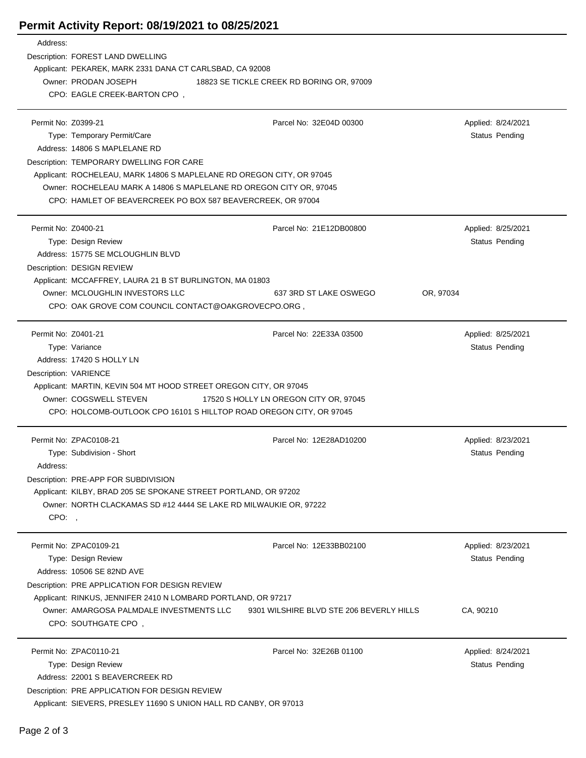## **Permit Activity Report: 08/19/2021 to 08/25/2021**

| Address:            |                                                                       |                                          |                       |  |  |
|---------------------|-----------------------------------------------------------------------|------------------------------------------|-----------------------|--|--|
|                     | Description: FOREST LAND DWELLING                                     |                                          |                       |  |  |
|                     | Applicant: PEKAREK, MARK 2331 DANA CT CARLSBAD, CA 92008              |                                          |                       |  |  |
|                     | Owner: PRODAN JOSEPH<br>18823 SE TICKLE CREEK RD BORING OR, 97009     |                                          |                       |  |  |
|                     | CPO: EAGLE CREEK-BARTON CPO,                                          |                                          |                       |  |  |
|                     |                                                                       |                                          |                       |  |  |
| Permit No: Z0399-21 |                                                                       | Parcel No: 32E04D 00300                  | Applied: 8/24/2021    |  |  |
|                     | Type: Temporary Permit/Care                                           |                                          | <b>Status Pending</b> |  |  |
|                     | Address: 14806 S MAPLELANE RD                                         |                                          |                       |  |  |
|                     | Description: TEMPORARY DWELLING FOR CARE                              |                                          |                       |  |  |
|                     | Applicant: ROCHELEAU, MARK 14806 S MAPLELANE RD OREGON CITY, OR 97045 |                                          |                       |  |  |
|                     | Owner: ROCHELEAU MARK A 14806 S MAPLELANE RD OREGON CITY OR, 97045    |                                          |                       |  |  |
|                     | CPO: HAMLET OF BEAVERCREEK PO BOX 587 BEAVERCREEK, OR 97004           |                                          |                       |  |  |
|                     |                                                                       |                                          |                       |  |  |
| Permit No: Z0400-21 |                                                                       | Parcel No: 21E12DB00800                  | Applied: 8/25/2021    |  |  |
|                     | Type: Design Review                                                   |                                          | Status Pending        |  |  |
|                     | Address: 15775 SE MCLOUGHLIN BLVD                                     |                                          |                       |  |  |
|                     |                                                                       |                                          |                       |  |  |
|                     | Description: DESIGN REVIEW                                            |                                          |                       |  |  |
|                     | Applicant: MCCAFFREY, LAURA 21 B ST BURLINGTON, MA 01803              |                                          |                       |  |  |
|                     | Owner: MCLOUGHLIN INVESTORS LLC                                       | 637 3RD ST LAKE OSWEGO<br>OR, 97034      |                       |  |  |
|                     | CPO: OAK GROVE COM COUNCIL CONTACT@OAKGROVECPO.ORG,                   |                                          |                       |  |  |
|                     |                                                                       |                                          |                       |  |  |
| Permit No: Z0401-21 |                                                                       | Parcel No: 22E33A 03500                  | Applied: 8/25/2021    |  |  |
|                     | Type: Variance                                                        |                                          | Status Pending        |  |  |
|                     | Address: 17420 S HOLLY LN                                             |                                          |                       |  |  |
|                     | Description: VARIENCE                                                 |                                          |                       |  |  |
|                     | Applicant: MARTIN, KEVIN 504 MT HOOD STREET OREGON CITY, OR 97045     |                                          |                       |  |  |
|                     | Owner: COGSWELL STEVEN<br>17520 S HOLLY LN OREGON CITY OR, 97045      |                                          |                       |  |  |
|                     | CPO: HOLCOMB-OUTLOOK CPO 16101 S HILLTOP ROAD OREGON CITY, OR 97045   |                                          |                       |  |  |
|                     |                                                                       |                                          |                       |  |  |
|                     | Permit No: ZPAC0108-21                                                | Parcel No: 12E28AD10200                  | Applied: 8/23/2021    |  |  |
|                     | Type: Subdivision - Short                                             |                                          | Status Pending        |  |  |
| Address:            |                                                                       |                                          |                       |  |  |
|                     | Description: PRE-APP FOR SUBDIVISION                                  |                                          |                       |  |  |
|                     | Applicant: KILBY, BRAD 205 SE SPOKANE STREET PORTLAND, OR 97202       |                                          |                       |  |  |
|                     | Owner: NORTH CLACKAMAS SD #12 4444 SE LAKE RD MILWAUKIE OR, 97222     |                                          |                       |  |  |
| CPO:,               |                                                                       |                                          |                       |  |  |
|                     |                                                                       |                                          |                       |  |  |
|                     | Permit No: ZPAC0109-21                                                | Parcel No: 12E33BB02100                  | Applied: 8/23/2021    |  |  |
|                     | Type: Design Review                                                   |                                          | Status Pending        |  |  |
|                     | Address: 10506 SE 82ND AVE                                            |                                          |                       |  |  |
|                     | Description: PRE APPLICATION FOR DESIGN REVIEW                        |                                          |                       |  |  |
|                     | Applicant: RINKUS, JENNIFER 2410 N LOMBARD PORTLAND, OR 97217         |                                          |                       |  |  |
|                     | Owner: AMARGOSA PALMDALE INVESTMENTS LLC                              | 9301 WILSHIRE BLVD STE 206 BEVERLY HILLS | CA, 90210             |  |  |
|                     | CPO: SOUTHGATE CPO,                                                   |                                          |                       |  |  |
|                     |                                                                       |                                          |                       |  |  |
|                     | Permit No: ZPAC0110-21                                                | Parcel No: 32E26B 01100                  | Applied: 8/24/2021    |  |  |
|                     | Type: Design Review                                                   |                                          | <b>Status Pending</b> |  |  |
|                     | Address: 22001 S BEAVERCREEK RD                                       |                                          |                       |  |  |
|                     | Description: PRE APPLICATION FOR DESIGN REVIEW                        |                                          |                       |  |  |
|                     | Applicant: SIEVERS, PRESLEY 11690 S UNION HALL RD CANBY, OR 97013     |                                          |                       |  |  |